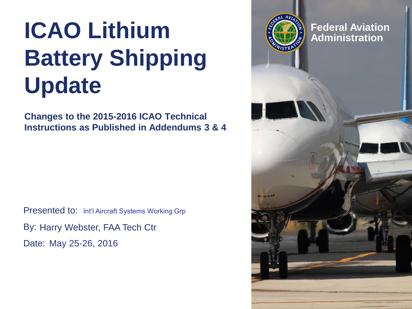### **ICAO Lithium** *ECAO* **Lithium** *ECAO Administration* **Battery Shipping Update**

**Changes to the 2015-2016 ICAO Technical Instructions as Published in Addendums 3 & 4**

Presented to: Int'l Aircraft Systems Working Grp By: Harry Webster, FAA Tech Ctr Date: May 25-26, 2016

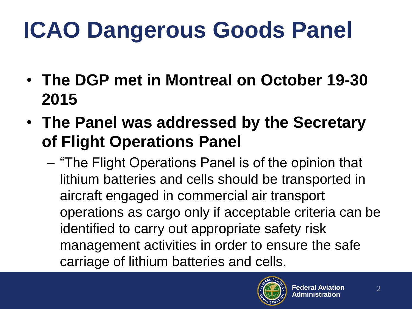- **The DGP met in Montreal on October 19-30 2015**
- **The Panel was addressed by the Secretary of Flight Operations Panel**
	- "The Flight Operations Panel is of the opinion that lithium batteries and cells should be transported in aircraft engaged in commercial air transport operations as cargo only if acceptable criteria can be identified to carry out appropriate safety risk management activities in order to ensure the safe carriage of lithium batteries and cells.

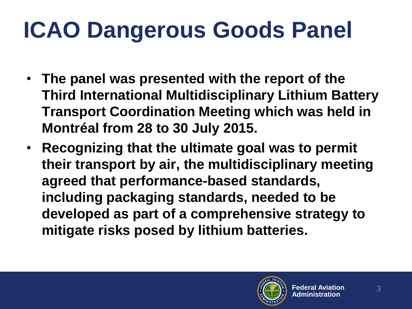- **The panel was presented with the report of the Third International Multidisciplinary Lithium Battery Transport Coordination Meeting which was held in Montréal from 28 to 30 July 2015.**
- **Recognizing that the ultimate goal was to permit their transport by air, the multidisciplinary meeting agreed that performance-based standards, including packaging standards, needed to be developed as part of a comprehensive strategy to mitigate risks posed by lithium batteries.**

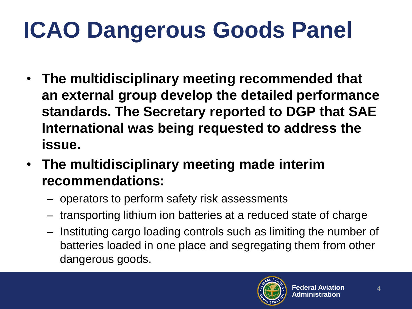- **The multidisciplinary meeting recommended that an external group develop the detailed performance standards. The Secretary reported to DGP that SAE International was being requested to address the issue.**
- **The multidisciplinary meeting made interim recommendations:**
	- operators to perform safety risk assessments
	- transporting lithium ion batteries at a reduced state of charge
	- Instituting cargo loading controls such as limiting the number of batteries loaded in one place and segregating them from other dangerous goods.

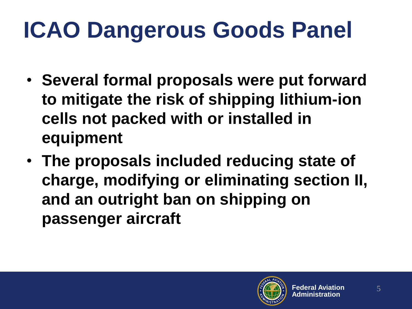- **Several formal proposals were put forward to mitigate the risk of shipping lithium-ion cells not packed with or installed in equipment**
- **The proposals included reducing state of charge, modifying or eliminating section II, and an outright ban on shipping on passenger aircraft**

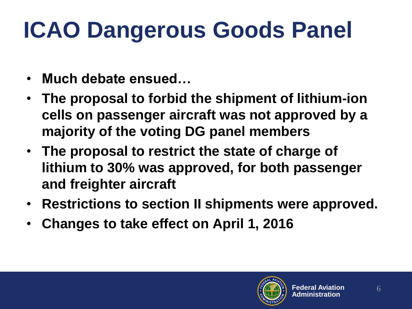- **Much debate ensued…**
- **The proposal to forbid the shipment of lithium-ion cells on passenger aircraft was not approved by a majority of the voting DG panel members**
- **The proposal to restrict the state of charge of lithium to 30% was approved, for both passenger and freighter aircraft**
- **Restrictions to section II shipments were approved.**
- **Changes to take effect on April 1, 2016**

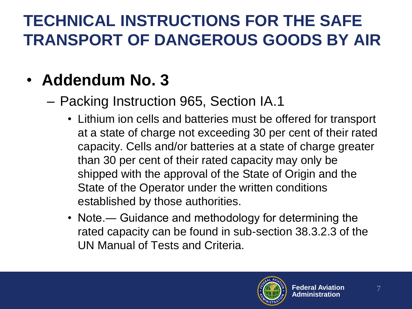#### • **Addendum No. 3**

– Packing Instruction 965, Section IA.1

- Lithium ion cells and batteries must be offered for transport at a state of charge not exceeding 30 per cent of their rated capacity. Cells and/or batteries at a state of charge greater than 30 per cent of their rated capacity may only be shipped with the approval of the State of Origin and the State of the Operator under the written conditions established by those authorities.
- Note.― Guidance and methodology for determining the rated capacity can be found in sub-section 38.3.2.3 of the UN Manual of Tests and Criteria.

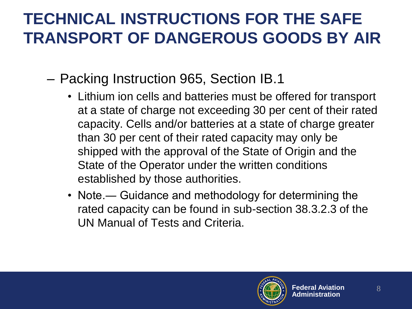- Packing Instruction 965, Section IB.1
	- Lithium ion cells and batteries must be offered for transport at a state of charge not exceeding 30 per cent of their rated capacity. Cells and/or batteries at a state of charge greater than 30 per cent of their rated capacity may only be shipped with the approval of the State of Origin and the State of the Operator under the written conditions established by those authorities.
	- Note.― Guidance and methodology for determining the rated capacity can be found in sub-section 38.3.2.3 of the UN Manual of Tests and Criteria.

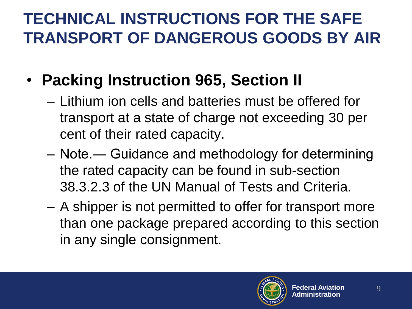- **Packing Instruction 965, Section II**
	- Lithium ion cells and batteries must be offered for transport at a state of charge not exceeding 30 per cent of their rated capacity.
	- Note.― Guidance and methodology for determining the rated capacity can be found in sub-section 38.3.2.3 of the UN Manual of Tests and Criteria.
	- A shipper is not permitted to offer for transport more than one package prepared according to this section in any single consignment.

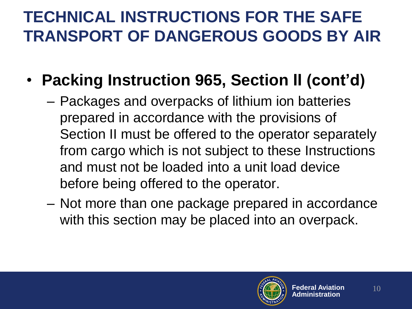- **Packing Instruction 965, Section II (cont'd)**
	- Packages and overpacks of lithium ion batteries prepared in accordance with the provisions of Section II must be offered to the operator separately from cargo which is not subject to these Instructions and must not be loaded into a unit load device before being offered to the operator.
	- Not more than one package prepared in accordance with this section may be placed into an overpack.

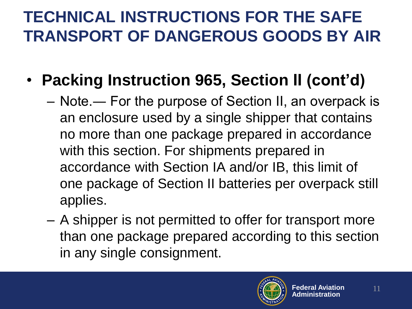- **Packing Instruction 965, Section II (cont'd)**
	- Note.― For the purpose of Section II, an overpack is an enclosure used by a single shipper that contains no more than one package prepared in accordance with this section. For shipments prepared in accordance with Section IA and/or IB, this limit of one package of Section II batteries per overpack still applies.
	- A shipper is not permitted to offer for transport more than one package prepared according to this section in any single consignment.

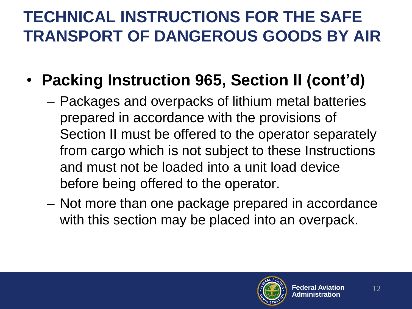- **Packing Instruction 965, Section II (cont'd)**
	- Packages and overpacks of lithium metal batteries prepared in accordance with the provisions of Section II must be offered to the operator separately from cargo which is not subject to these Instructions and must not be loaded into a unit load device before being offered to the operator.
	- Not more than one package prepared in accordance with this section may be placed into an overpack.

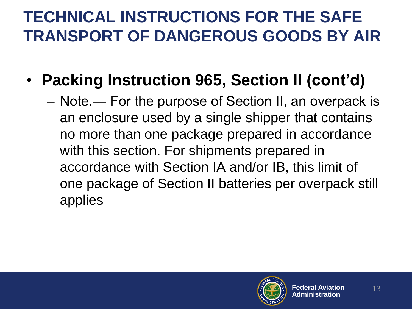- **Packing Instruction 965, Section II (cont'd)**
	- Note.― For the purpose of Section II, an overpack is an enclosure used by a single shipper that contains no more than one package prepared in accordance with this section. For shipments prepared in accordance with Section IA and/or IB, this limit of one package of Section II batteries per overpack still applies

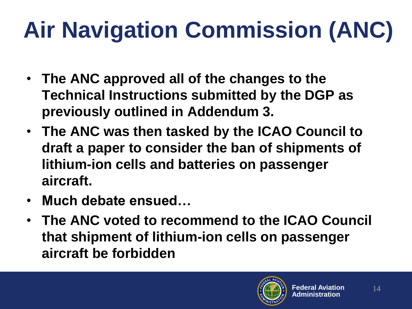# **Air Navigation Commission (ANC)**

- **The ANC approved all of the changes to the Technical Instructions submitted by the DGP as previously outlined in Addendum 3.**
- **The ANC was then tasked by the ICAO Council to draft a paper to consider the ban of shipments of lithium-ion cells and batteries on passenger aircraft.**
- **Much debate ensued…**
- **The ANC voted to recommend to the ICAO Council that shipment of lithium-ion cells on passenger aircraft be forbidden**

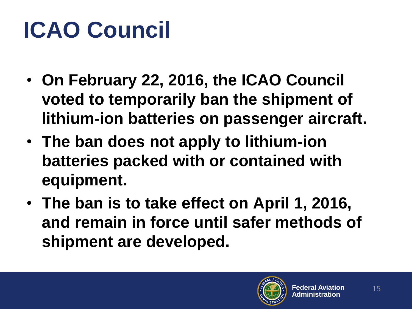## **ICAO Council**

- **On February 22, 2016, the ICAO Council voted to temporarily ban the shipment of lithium-ion batteries on passenger aircraft.**
- **The ban does not apply to lithium-ion batteries packed with or contained with equipment.**
- **The ban is to take effect on April 1, 2016, and remain in force until safer methods of shipment are developed.**

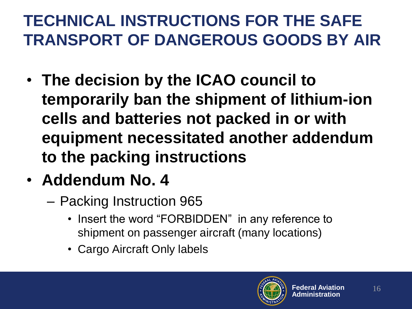- **The decision by the ICAO council to temporarily ban the shipment of lithium-ion cells and batteries not packed in or with equipment necessitated another addendum to the packing instructions**
- **Addendum No. 4**
	- Packing Instruction 965
		- Insert the word "FORBIDDEN" in any reference to shipment on passenger aircraft (many locations)
		- Cargo Aircraft Only labels